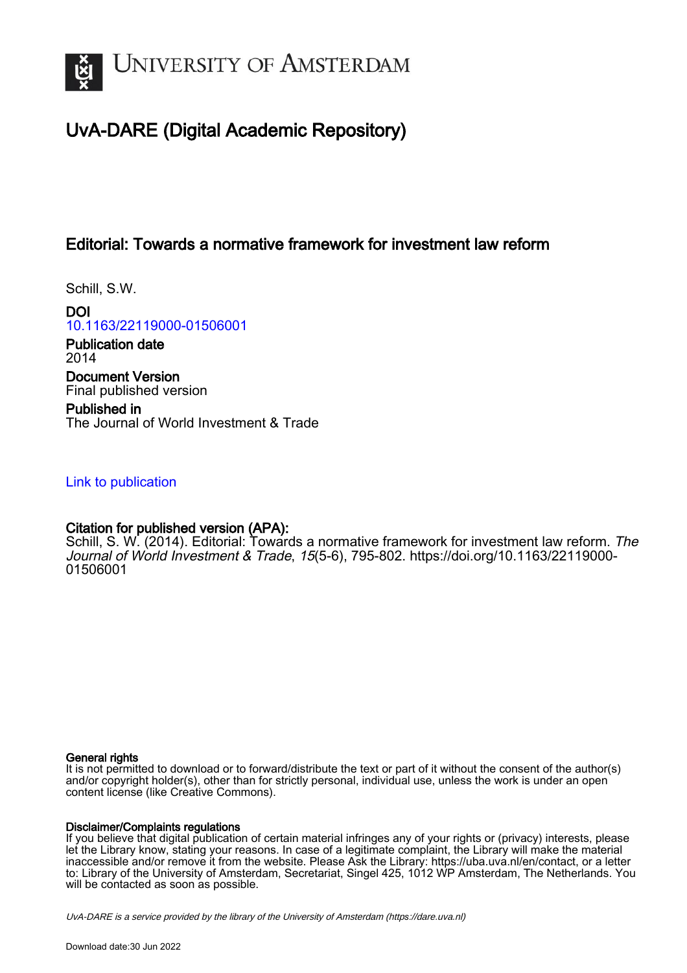

# UvA-DARE (Digital Academic Repository)

# Editorial: Towards a normative framework for investment law reform

Schill, S.W.

DOI [10.1163/22119000-01506001](https://doi.org/10.1163/22119000-01506001)

Publication date 2014 Document Version Final published version

Published in The Journal of World Investment & Trade

## [Link to publication](https://dare.uva.nl/personal/pure/en/publications/editorial-towards-a-normative-framework-for-investment-law-reform(4955b68a-c7ad-4a1a-9f76-9f047f3d962a).html)

## Citation for published version (APA):

Schill, S. W. (2014). Editorial: Towards a normative framework for investment law reform. The Journal of World Investment & Trade, 15(5-6), 795-802. [https://doi.org/10.1163/22119000-](https://doi.org/10.1163/22119000-01506001) [01506001](https://doi.org/10.1163/22119000-01506001)

### General rights

It is not permitted to download or to forward/distribute the text or part of it without the consent of the author(s) and/or copyright holder(s), other than for strictly personal, individual use, unless the work is under an open content license (like Creative Commons).

### Disclaimer/Complaints regulations

If you believe that digital publication of certain material infringes any of your rights or (privacy) interests, please let the Library know, stating your reasons. In case of a legitimate complaint, the Library will make the material inaccessible and/or remove it from the website. Please Ask the Library: https://uba.uva.nl/en/contact, or a letter to: Library of the University of Amsterdam, Secretariat, Singel 425, 1012 WP Amsterdam, The Netherlands. You will be contacted as soon as possible.

UvA-DARE is a service provided by the library of the University of Amsterdam (http*s*://dare.uva.nl)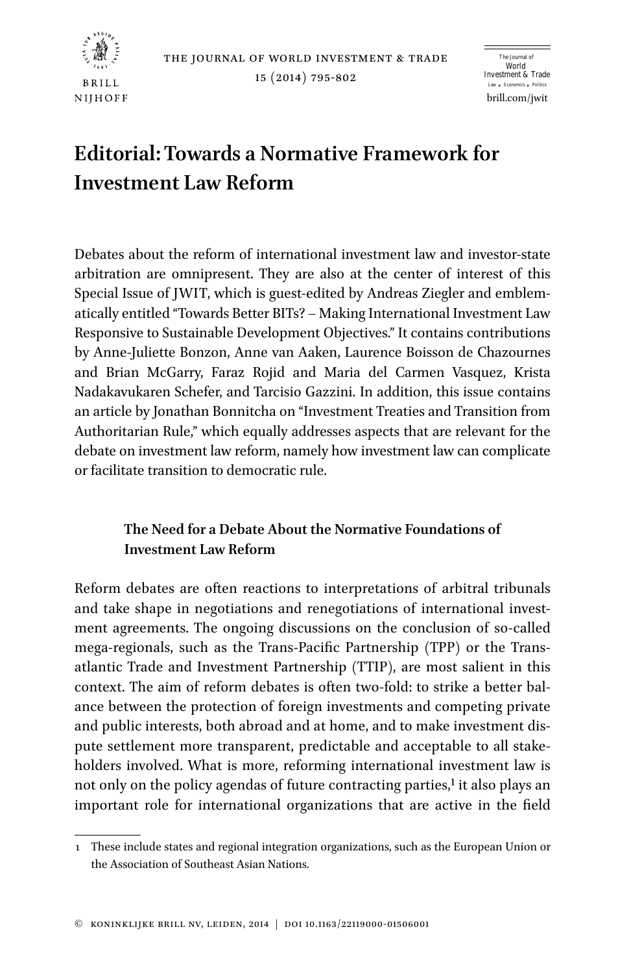

15 (2014) 795-802

brill.com/jwit The Journal of World Investment & Trade Law \* Economics \* Politics

# **Editorial: Towards a Normative Framework for Investment Law Reform**

Debates about the reform of international investment law and investor-state arbitration are omnipresent. They are also at the center of interest of this Special Issue of JWIT, which is guest-edited by Andreas Ziegler and emblematically entitled "Towards Better BITs? – Making International Investment Law Responsive to Sustainable Development Objectives." It contains contributions by Anne-Juliette Bonzon, Anne van Aaken, Laurence Boisson de Chazournes and Brian McGarry, Faraz Rojid and Maria del Carmen Vasquez, Krista Nadakavukaren Schefer, and Tarcisio Gazzini. In addition, this issue contains an article by Jonathan Bonnitcha on "Investment Treaties and Transition from Authoritarian Rule," which equally addresses aspects that are relevant for the debate on investment law reform, namely how investment law can complicate or facilitate transition to democratic rule.

## **The Need for a Debate About the Normative Foundations of Investment Law Reform**

Reform debates are often reactions to interpretations of arbitral tribunals and take shape in negotiations and renegotiations of international investment agreements. The ongoing discussions on the conclusion of so-called mega-regionals, such as the Trans-Pacific Partnership (TPP) or the Transatlantic Trade and Investment Partnership (TTIP), are most salient in this context. The aim of reform debates is often two-fold: to strike a better balance between the protection of foreign investments and competing private and public interests, both abroad and at home, and to make investment dispute settlement more transparent, predictable and acceptable to all stakeholders involved. What is more, reforming international investment law is not only on the policy agendas of future contracting parties,<sup>1</sup> it also plays an important role for international organizations that are active in the field

<sup>1</sup> These include states and regional integration organizations, such as the European Union or the Association of Southeast Asian Nations.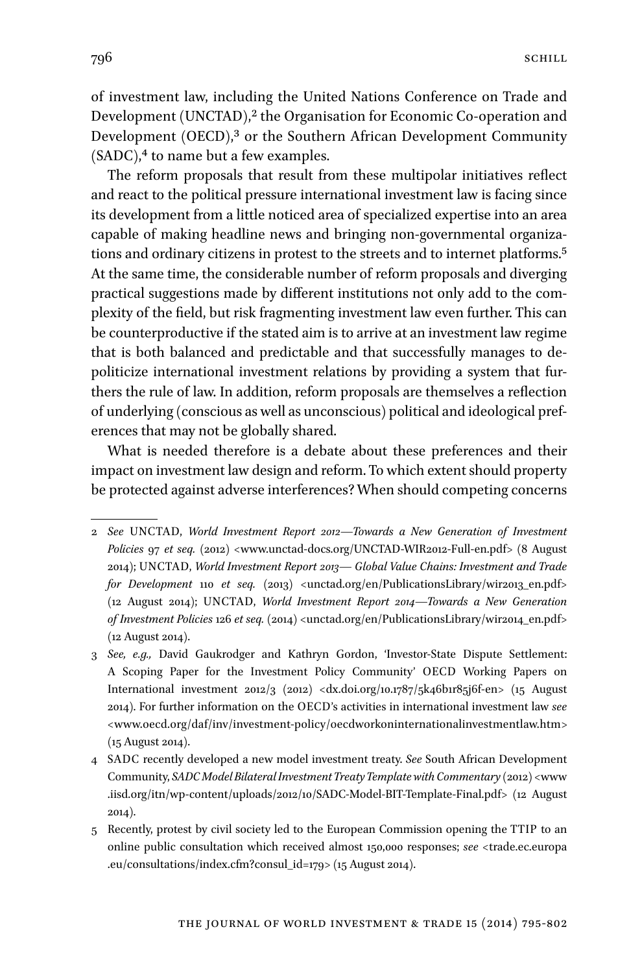of investment law, including the United Nations Conference on Trade and Development (UNCTAD),<sup>2</sup> the Organisation for Economic Co-operation and Development (OECD),<sup>3</sup> or the Southern African Development Community  $(SADC)$ ,<sup>4</sup> to name but a few examples.

The reform proposals that result from these multipolar initiatives reflect and react to the political pressure international investment law is facing since its development from a little noticed area of specialized expertise into an area capable of making headline news and bringing non-governmental organizations and ordinary citizens in protest to the streets and to internet platforms.<sup>5</sup> At the same time, the considerable number of reform proposals and diverging practical suggestions made by different institutions not only add to the complexity of the field, but risk fragmenting investment law even further. This can be counterproductive if the stated aim is to arrive at an investment law regime that is both balanced and predictable and that successfully manages to depoliticize international investment relations by providing a system that furthers the rule of law. In addition, reform proposals are themselves a reflection of underlying (conscious as well as unconscious) political and ideological preferences that may not be globally shared.

What is needed therefore is a debate about these preferences and their impact on investment law design and reform. To which extent should property be protected against adverse interferences? When should competing concerns

5 Recently, protest by civil society led to the European Commission opening the TTIP to an online public consultation which received almost 150,000 responses; *see* <[trade.ec.europa](http://trade.ec.europa.eu/consultations/index.cfm?consul_id=179) [.eu/consultations/index.cfm?consul\\_id=179>](http://trade.ec.europa.eu/consultations/index.cfm?consul_id=179) (15 August 2014).

<sup>2</sup> *See* UNCTAD, *World Investment Report 2012—Towards a New Generation of Investment Policies* 97 *et seq.* (2012) [<www.unctad-docs.org/UNCTAD-WIR2012-Full-en.pdf>](http://www.unctad-docs.org/UNCTAD-WIR2012-Full-en.pdf) (8 August 2014); UNCTAD, *World Investment Report 2013— Global Value Chains: Investment and Trade for Development* 110 *et seq.* (2013) [<unctad.org/en/PublicationsLibrary/wir2013\\_en.pdf>](http://unctad.org/en/PublicationsLibrary/wir2013_en.pdf) (12 August 2014); UNCTAD, *World Investment Report 2014—Towards a New Generation of Investment Policies* 126 *et seq.* (2014) [<unctad.org/en/PublicationsLibrary/wir2014\\_en.pdf>](http://unctad.org/en/PublicationsLibrary/wir2014_en.pdf) (12 August 2014).

<sup>3</sup> *See, e.g.,* David Gaukrodger and Kathryn Gordon, 'Investor-State Dispute Settlement: A Scoping Paper for the Investment Policy Community' OECD Working Papers on International investment 2012/3 (2012) [<dx.doi.org/10.1787/5k46b1r85j6f-en](http://dx.doi.org/10.1787/5k46b1r85j6f-en)> (15 August 2014). For further information on the OECD's activities in international investment law *see* [<www.oecd.org/daf/inv/investment-policy/oecdworkoninternationalinvestmentlaw.htm>](http://www.oecd.org/daf/inv/investment-policy/oecdworkoninternationalinvestmentlaw.htm) (15 August 2014).

<sup>4</sup> SADC recently developed a new model investment treaty. *See* South African Development Community, *SADC Model Bilateral Investment Treaty Template with Commentary* (2012) <[www](http://www.iisd.org/itn/wp-content/uploads/2012/10/SADC-Model-BIT-Template-Final.pdf) [.iisd.org/itn/wp-content/uploads/2012/10/SADC-Model-BIT-Template-Final.pdf>](http://www.iisd.org/itn/wp-content/uploads/2012/10/SADC-Model-BIT-Template-Final.pdf) (12 August 2014).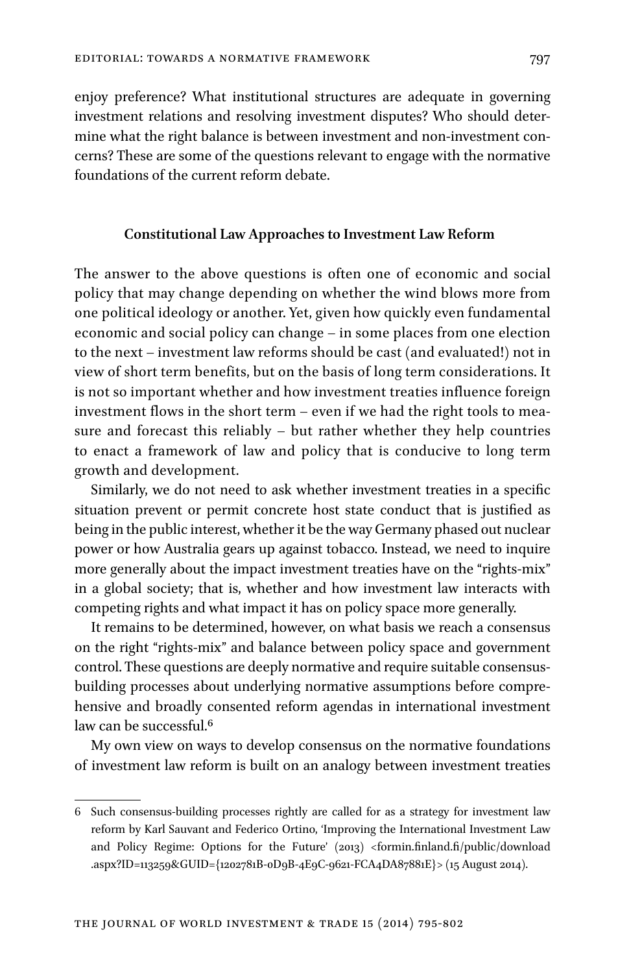enjoy preference? What institutional structures are adequate in governing investment relations and resolving investment disputes? Who should determine what the right balance is between investment and non-investment concerns? These are some of the questions relevant to engage with the normative foundations of the current reform debate.

#### **Constitutional Law Approaches to Investment Law Reform**

The answer to the above questions is often one of economic and social policy that may change depending on whether the wind blows more from one political ideology or another. Yet, given how quickly even fundamental economic and social policy can change – in some places from one election to the next – investment law reforms should be cast (and evaluated!) not in view of short term benefits, but on the basis of long term considerations. It is not so important whether and how investment treaties influence foreign investment flows in the short term – even if we had the right tools to measure and forecast this reliably – but rather whether they help countries to enact a framework of law and policy that is conducive to long term growth and development.

Similarly, we do not need to ask whether investment treaties in a specific situation prevent or permit concrete host state conduct that is justified as being in the public interest, whether it be the way Germany phased out nuclear power or how Australia gears up against tobacco. Instead, we need to inquire more generally about the impact investment treaties have on the "rights-mix" in a global society; that is, whether and how investment law interacts with competing rights and what impact it has on policy space more generally.

It remains to be determined, however, on what basis we reach a consensus on the right "rights-mix" and balance between policy space and government control. These questions are deeply normative and require suitable consensusbuilding processes about underlying normative assumptions before comprehensive and broadly consented reform agendas in international investment law can be successful.<sup>6</sup>

My own view on ways to develop consensus on the normative foundations of investment law reform is built on an analogy between investment treaties

<sup>6</sup> Such consensus-building processes rightly are called for as a strategy for investment law reform by Karl Sauvant and Federico Ortino, 'Improving the International Investment Law and Policy Regime: Options for the Future' (2013) [<formin.finland.fi/public/download](http://formin.finland.fi/public/download.aspx?ID=113259&GUID={1202781B-0D9B-4E9C-9621-FCA4DA87881E}) [.aspx?ID=113259&GUID={1202781B-0D9B-4E9C-9621-FCA4DA87881E}](http://formin.finland.fi/public/download.aspx?ID=113259&GUID={1202781B-0D9B-4E9C-9621-FCA4DA87881E})> (15 August 2014).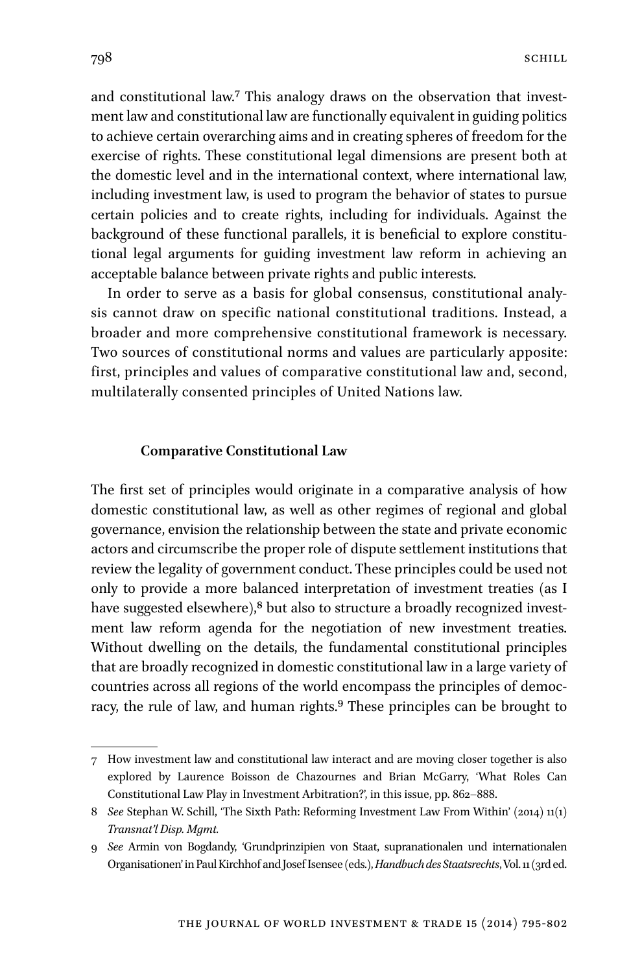and constitutional law.7 This analogy draws on the observation that investment law and constitutional law are functionally equivalent in guiding politics to achieve certain overarching aims and in creating spheres of freedom for the exercise of rights. These constitutional legal dimensions are present both at the domestic level and in the international context, where international law, including investment law, is used to program the behavior of states to pursue certain policies and to create rights, including for individuals. Against the background of these functional parallels, it is beneficial to explore constitutional legal arguments for guiding investment law reform in achieving an acceptable balance between private rights and public interests.

In order to serve as a basis for global consensus, constitutional analysis cannot draw on specific national constitutional traditions. Instead, a broader and more comprehensive constitutional framework is necessary. Two sources of constitutional norms and values are particularly apposite: first, principles and values of comparative constitutional law and, second, multilaterally consented principles of United Nations law.

#### **Comparative Constitutional Law**

The first set of principles would originate in a comparative analysis of how domestic constitutional law, as well as other regimes of regional and global governance, envision the relationship between the state and private economic actors and circumscribe the proper role of dispute settlement institutions that review the legality of government conduct. These principles could be used not only to provide a more balanced interpretation of investment treaties (as I have suggested elsewhere),<sup>8</sup> but also to structure a broadly recognized investment law reform agenda for the negotiation of new investment treaties. Without dwelling on the details, the fundamental constitutional principles that are broadly recognized in domestic constitutional law in a large variety of countries across all regions of the world encompass the principles of democracy, the rule of law, and human rights.<sup>9</sup> These principles can be brought to

<sup>7</sup> How investment law and constitutional law interact and are moving closer together is also explored by Laurence Boisson de Chazournes and Brian McGarry, 'What Roles Can Constitutional Law Play in Investment Arbitration?', in this issue, pp. 862–888.

<sup>8</sup> *See* Stephan W. Schill, 'The Sixth Path: Reforming Investment Law From Within' (2014) 11(1) *Transnat'l Disp. Mgmt.*

<sup>9</sup> *See* Armin von Bogdandy, 'Grundprinzipien von Staat, supranationalen und internationalen Organisationen' in Paul Kirchhof and Josef Isensee (eds.), *Handbuch des Staatsrechts*, Vol. 11 (3rd ed.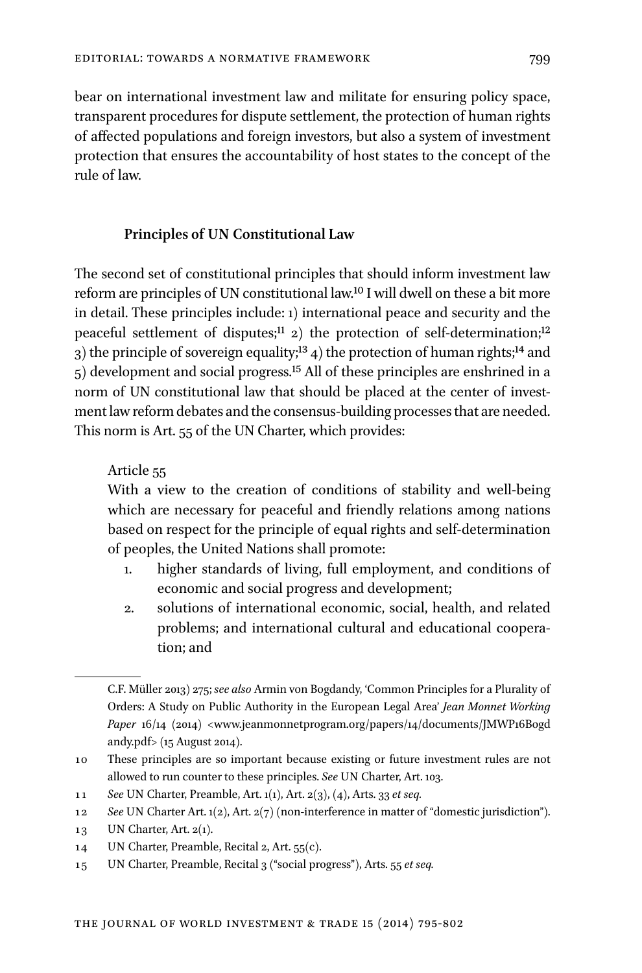bear on international investment law and militate for ensuring policy space, transparent procedures for dispute settlement, the protection of human rights of affected populations and foreign investors, but also a system of investment protection that ensures the accountability of host states to the concept of the rule of law.

### **Principles of UN Constitutional Law**

The second set of constitutional principles that should inform investment law reform are principles of UN constitutional law.10 I will dwell on these a bit more in detail. These principles include: 1) international peace and security and the peaceful settlement of disputes;<sup>11</sup> 2) the protection of self-determination;<sup>12</sup> 3) the principle of sovereign equality;<sup>13</sup> 4) the protection of human rights;<sup>14</sup> and 5) development and social progress.15 All of these principles are enshrined in a norm of UN constitutional law that should be placed at the center of investment law reform debates and the consensus-building processes that are needed. This norm is Art. 55 of the UN Charter, which provides:

Article 55

With a view to the creation of conditions of stability and well-being which are necessary for peaceful and friendly relations among nations based on respect for the principle of equal rights and self-determination of peoples, the United Nations shall promote:

- 1. higher standards of living, full employment, and conditions of economic and social progress and development;
- 2. solutions of international economic, social, health, and related problems; and international cultural and educational cooperation; and

C.F. Müller 2013) 275; *see also* Armin von Bogdandy, 'Common Principles for a Plurality of Orders: A Study on Public Authority in the European Legal Area' *Jean Monnet Working Paper* 16/14 (2014) [<www.jeanmonnetprogram.org/papers/14/documents/JMWP16Bogd](http://www.jeanmonnetprogram.org/papers/14/documents/JMWP16Bogdandy.pdf) [andy.pdf>](http://www.jeanmonnetprogram.org/papers/14/documents/JMWP16Bogdandy.pdf) (15 August 2014).

<sup>10</sup> These principles are so important because existing or future investment rules are not allowed to run counter to these principles. *See* UN Charter, Art. 103.

<sup>11</sup> *See* UN Charter, Preamble, Art. 1(1), Art. 2(3), (4), Arts. 33 *et seq.*

<sup>12</sup> *See* UN Charter Art. 1(2), Art. 2(7) (non-interference in matter of "domestic jurisdiction").

<sup>13</sup> UN Charter, Art. 2(1).

<sup>14</sup> UN Charter, Preamble, Recital 2, Art. 55(c).

<sup>15</sup> UN Charter, Preamble, Recital 3 ("social progress"), Arts. 55 *et seq.*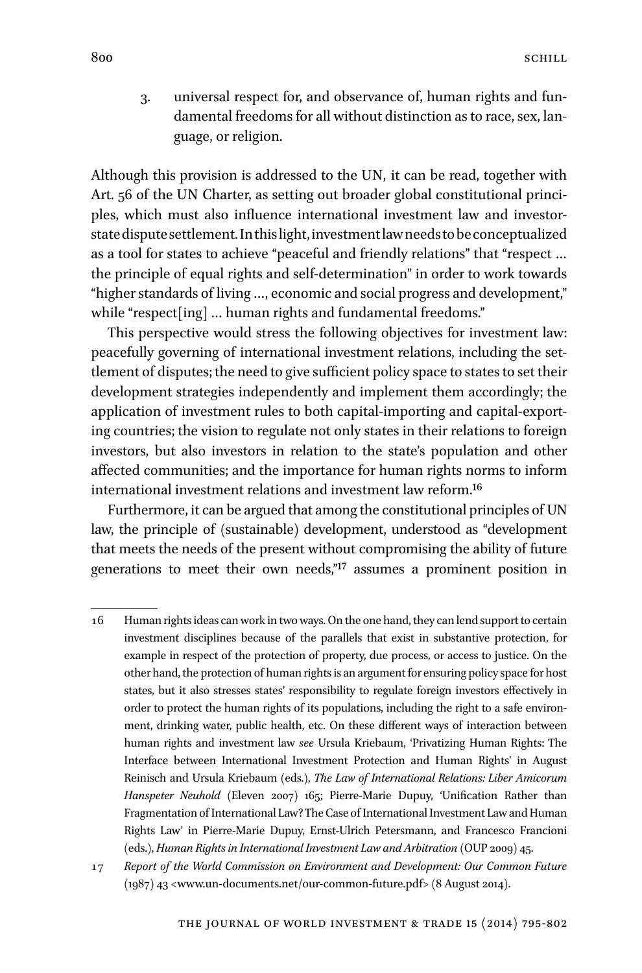3. universal respect for, and observance of, human rights and fundamental freedoms for all without distinction as to race, sex, language, or religion.

Although this provision is addressed to the UN, it can be read, together with Art. 56 of the UN Charter, as setting out broader global constitutional principles, which must also influence international investment law and investorstate dispute settlement. In this light, investment law needs to be conceptualized as a tool for states to achieve "peaceful and friendly relations" that "respect … the principle of equal rights and self-determination" in order to work towards "higher standards of living …, economic and social progress and development," while "respect[ing] ... human rights and fundamental freedoms."

This perspective would stress the following objectives for investment law: peacefully governing of international investment relations, including the settlement of disputes; the need to give sufficient policy space to states to set their development strategies independently and implement them accordingly; the application of investment rules to both capital-importing and capital-exporting countries; the vision to regulate not only states in their relations to foreign investors, but also investors in relation to the state's population and other affected communities; and the importance for human rights norms to inform international investment relations and investment law reform.16

Furthermore, it can be argued that among the constitutional principles of UN law, the principle of (sustainable) development, understood as "development that meets the needs of the present without compromising the ability of future generations to meet their own needs,"17 assumes a prominent position in

<sup>16</sup> Human rights ideas can work in two ways. On the one hand, they can lend support to certain investment disciplines because of the parallels that exist in substantive protection, for example in respect of the protection of property, due process, or access to justice. On the other hand, the protection of human rights is an argument for ensuring policy space for host states, but it also stresses states' responsibility to regulate foreign investors effectively in order to protect the human rights of its populations, including the right to a safe environment, drinking water, public health, etc. On these different ways of interaction between human rights and investment law *see* Ursula Kriebaum, 'Privatizing Human Rights: The Interface between International Investment Protection and Human Rights' in August Reinisch and Ursula Kriebaum (eds.), *The Law of International Relations: Liber Amicorum Hanspeter Neuhold* (Eleven 2007) 165; Pierre-Marie Dupuy, 'Unification Rather than Fragmentation of International Law? The Case of International Investment Law and Human Rights Law' in Pierre-Marie Dupuy, Ernst-Ulrich Petersmann, and Francesco Francioni (eds.), *Human Rights in International Investment Law and Arbitration* (OUP 2009) 45.

<sup>17</sup> *Report of the World Commission on Environment and Development: Our Common Future* (1987) 43 <[www.un-documents.net/our-common-future.pdf>](http://www.un-documents.net/our-common-future.pdf) (8 August 2014).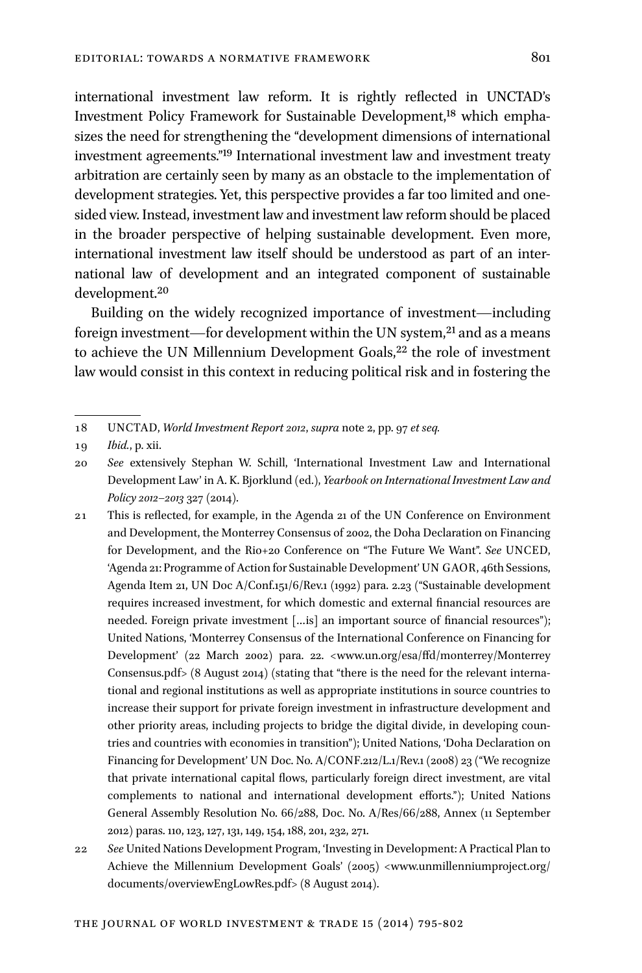international investment law reform. It is rightly reflected in UNCTAD's Investment Policy Framework for Sustainable Development,<sup>18</sup> which emphasizes the need for strengthening the "development dimensions of international investment agreements."19 International investment law and investment treaty arbitration are certainly seen by many as an obstacle to the implementation of development strategies. Yet, this perspective provides a far too limited and onesided view. Instead, investment law and investment law reform should be placed in the broader perspective of helping sustainable development. Even more, international investment law itself should be understood as part of an international law of development and an integrated component of sustainable development.20

Building on the widely recognized importance of investment—including foreign investment—for development within the UN system,<sup>21</sup> and as a means to achieve the UN Millennium Development Goals,<sup>22</sup> the role of investment law would consist in this context in reducing political risk and in fostering the

- 20 *See* extensively Stephan W. Schill, 'International Investment Law and International Development Law' in A. K. Bjorklund (ed.), *Yearbook on International Investment Law and Policy 2012–2013* 327 (2014).
- 21 This is reflected, for example, in the Agenda 21 of the UN Conference on Environment and Development, the Monterrey Consensus of 2002, the Doha Declaration on Financing for Development, and the Rio+20 Conference on "The Future We Want". *See* UNCED, 'Agenda 21: Programme of Action for Sustainable Development' UN GAOR, 46th Sessions, Agenda Item 21, UN Doc A/Conf.151/6/Rev.1 (1992) para. 2.23 ("Sustainable development requires increased investment, for which domestic and external financial resources are needed. Foreign private investment […is] an important source of financial resources"); United Nations, 'Monterrey Consensus of the International Conference on Financing for Development' (22 March 2002) para. 22. [<www.un.org/esa/ffd/monterrey/Monterrey](http://www.un.org/esa/ffd/monterrey/MonterreyConsensus.pdf)  [Consensus.pdf>](http://www.un.org/esa/ffd/monterrey/MonterreyConsensus.pdf)  $(8 \text{ August } 2014)$  (stating that "there is the need for the relevant international and regional institutions as well as appropriate institutions in source countries to increase their support for private foreign investment in infrastructure development and other priority areas, including projects to bridge the digital divide, in developing countries and countries with economies in transition"); United Nations, 'Doha Declaration on Financing for Development' UN Doc. No. A/CONF.212/L.1/Rev.1 (2008) 23 ("We recognize that private international capital flows, particularly foreign direct investment, are vital complements to national and international development efforts."); United Nations General Assembly Resolution No. 66/288, Doc. No. A/Res/66/288, Annex (11 September 2012) paras. 110, 123, 127, 131, 149, 154, 188, 201, 232, 271.
- 22 *See* United Nations Development Program, 'Investing in Development: A Practical Plan to Achieve the Millennium Development Goals' (2005) [<www.unmillenniumproject.org/](http://www.unmillenniumproject.org/documents/overviewEngLowRes.pdf) [documents/overviewEngLowRes.pdf>](http://www.unmillenniumproject.org/documents/overviewEngLowRes.pdf) (8 August 2014).

<sup>18</sup> UNCTAD, *World Investment Report 2012*, *supra* note 2, pp. 97 *et seq.*

<sup>19</sup> *Ibid.*, p. xii.